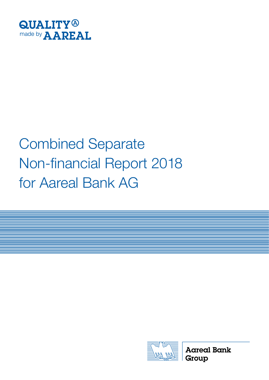

# Combined Separate Non-financial Report 2018 for Aareal Bank AG



**Aareal Bank** Group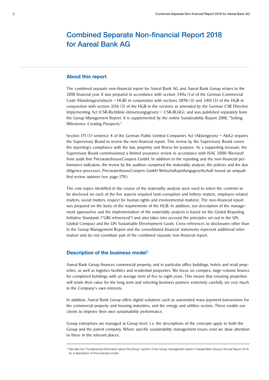# Combined Separate Non-financial Report 2018 for Aareal Bank AG

#### About this report

The combined separate non-financial report for Aareal Bank AG and Aareal Bank Group relates to the 2018 financial year. It was prepared in accordance with section 340a (1a) of the German Commercial Code (Handelsgesetzbuch – HGB) in conjunction with sections 289b (3) and 340i (5) of the HGB in conjunction with section 315b (3) of the HGB in the versions as amended by the German CSR Directive Implementing Act (CSR-Richtlinie-Umsetzungsgesetz – CSR-RLUG), and was published separately from the Group Management Report. It is supplemented by the online Sustainability Report 2018, "Setting Milestones. Creating Prospects."

Section 171 (1) sentence 4 of the German Public Limited Companies Act (Aktiengesetz – AktG) requires the Supervisory Board to review the non-financial report. This review by the Supervisory Board covers the reporting's compliance with the law, propriety and fitness for purpose. As a supporting measure, the Supervisory Board commissioned a limited assurance review in accordance with ISAE 3000 (Revised) from audit firm PricewaterhouseCoopers GmbH. In addition to the reporting and the non-financial performance indicators, the review by the auditors comprised the materiality analysis, the policies and the due diligence processes. PricewaterhouseCoopers GmbH Wirtschaftsprüfungsgesellschaft issued an unqualified review opinion (see page 17ff.).

The core topics identified in the course of the materiality analysis were used to select the contents to be disclosed on each of the five aspects required (anti-corruption and bribery matters, employee-related matters, social matters, respect for human rights and environmental matters). The non-financial report was prepared on the basis of the requirements of the HGB. In addition, our description of the management approaches and the implementation of the materiality analysis is based on the Global Reporting Initiative Standards ("GRI-referenced") and also takes into account the principles set out in the UN Global Compact and the UN Sustainable Development Goals. Cross-references to disclosures other than in the Group Management Report and the consolidated financial statements represent additional information and do not constitute part of the combined separate non-financial report.

#### Description of the business model<sup>1)</sup>

Aareal Bank Group finances commercial property, and in particular office buildings, hotels and retail properties, as well as logistics facilities and residential properties. We focus on complex, large-volume finance for completed buildings with an average term of five to eight years. This means that ensuring properties will retain their value for the long term and selecting business partners extremely carefully are very much in the Company's own interests.

In addition, Aareal Bank Group offers digital solutions such as automated mass payment transactions for the commercial property and housing industries, and the energy and utilities sectors. These enable our clients to improve their own sustainability performance.

Group enterprises are managed at Group level, i. e. the descriptions of the concepts apply to both the Group and the parent company. Where specific sustainability management issues exist we draw attention to these in the relevant places.

<sup>1)</sup> See also the "Fundamental Information about the Group" section of the Group management report in Aareal Bank Group's Annual Report 2018 for a description of the business model.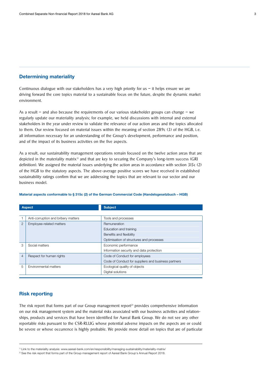#### Determining materiality

Continuous dialogue with our stakeholders has a very high priority for us  $-$  it helps ensure we are driving forward the core topics material to a sustainable focus on the future, despite the dynamic market environment.

As a result – and also because the requirements of our various stakeholder groups can change – we regularly update our materiality analysis; for example, we held discussions with internal and external stakeholders in the year under review to validate the relevance of our action areas and the topics allocated to them. Our review focused on material issues within the meaning of section 289c (3) of the HGB, i. e. all information necessary for an understanding of the Group's development, performance and position, and of the impact of its business activities on the five aspects.

As a result, our sustainability management operations remain focused on the twelve action areas that are depicted in the materiality matrix<sup>1)</sup> and that are key to securing the Company's long-term success (GRI definition). We assigned the material issues underlying the action areas in accordance with section 315c (2) of the HGB to the statutory aspects. The above-average positive scores we have received in established sustainability ratings confirm that we are addressing the topics that are relevant to our sector and our business model.

|                | <b>Aspect</b>                       | <b>Subject</b>                                      |
|----------------|-------------------------------------|-----------------------------------------------------|
|                |                                     |                                                     |
|                | Anti-corruption and bribery matters | Tools and processes                                 |
| $\overline{2}$ | Employee-related matters            | Remuneration                                        |
|                |                                     | Education and training                              |
|                |                                     | Benefits and flexibility                            |
|                |                                     | Optimisation of structures and processes            |
| 3              | Social matters                      | Economic performance                                |
|                |                                     | Information security and data protection            |
| 4              | Respect for human rights            | Code of Conduct for employees                       |
|                |                                     | Code of Conduct for suppliers and business partners |
| 5              | Environmental matters               | Ecological quality of objects                       |
|                |                                     | Digital solutions                                   |

#### Material aspects conformable to § 315c (2) of the German Commercial Code (Handelsgesetzbuch – HGB)

#### Risk reporting

The risk report that forms part of our Group management report<sup>2)</sup> provides comprehensive information on our risk management system and the material risks associated with our business activities and relationships, products and services that have been identified for Aareal Bank Group. We do not see any other reportable risks pursuant to the CSR-RLUG whose potential adverse impacts on the aspects are or could be severe or whose occurrence is highly probable. We provide more detail on topics that are of particular

<sup>1)</sup> Link to the materiality analysis: www.aareal-bank.com/en/responsibility/managing-sustainability/materiality-matrix/

<sup>2)</sup> See the risk report that forms part of the Group management report of Aareal Bank Group's Annual Report 2018.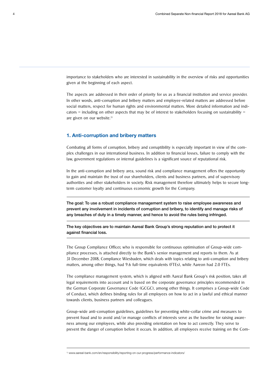importance to stakeholders who are interested in sustainability in the overview of risks and opportunities given at the beginning of each aspect.

The aspects are addressed in their order of priority for us as a financial institution and service provider. In other words, anti-corruption and bribery matters and employee-related matters are addressed before social matters, respect for human rights and environmental matters. More detailed information and indicators – including on other aspects that may be of interest to stakeholders focusing on sustainability – are given on our website.<sup>1)</sup>

#### 1. Anti-corruption and bribery matters

Combating all forms of corruption, bribery and corruptibility is especially important in view of the complex challenges in our international business. In addition to financial losses, failure to comply with the law, government regulations or internal guidelines is a significant source of reputational risk.

In the anti-corruption and bribery area, sound risk and compliance management offers the opportunity to gain and maintain the trust of our shareholders, clients and business partners, and of supervisory authorities and other stakeholders in society. Risk management therefore ultimately helps to secure longterm customer loyalty and continuous economic growth for the Company.

The goal: To use a robust compliance management system to raise employee awareness and prevent any involvement in incidents of corruption and bribery, to identify and manage risks of any breaches of duty in a timely manner, and hence to avoid the rules being infringed.

The key objectives are to maintain Aareal Bank Group's strong reputation and to protect it against financial loss.

The Group Compliance Officer, who is responsible for continuous optimisation of Group-wide compliance processes, is attached directly to the Bank's senior management and reports to them. As at 31 December 2018, Compliance Wiesbaden, which deals with topics relating to anti-corruption and bribery matters, among other things, had 9.6 full-time equivalents (FTEs), while Aareon had 2.0 FTEs.

The compliance management system, which is aligned with Aareal Bank Group's risk position, takes all legal requirements into account and is based on the corporate governance principles recommended in the German Corporate Governance Code (GCGC), among other things. It comprises a Group-wide Code of Conduct, which defines binding rules for all employees on how to act in a lawful and ethical manner towards clients, business partners and colleagues.

Group-wide anti-corruption guidelines, guidelines for preventing white-collar crime and measures to prevent fraud and to avoid and/or manage conflicts of interests serve as the baseline for raising awareness among our employees, while also providing orientation on how to act correctly. They serve to prevent the danger of corruption before it occurs. In addition, all employees receive training on the Com-

<sup>1)</sup> www.aareal-bank.com/en/responsibility/reporting-on-our-progress/performance-indicators/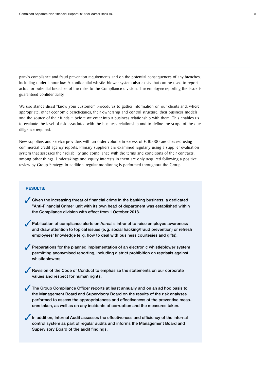pany's compliance and fraud prevention requirements and on the potential consequences of any breaches, including under labour law. A confidential whistle-blower system also exists that can be used to report actual or potential breaches of the rules to the Compliance division. The employee reporting the issue is guaranteed confidentiality.

We use standardised "know your customer" procedures to gather information on our clients and, where appropriate, other economic beneficiaries, their ownership and control structure, their business models and the source of their funds – before we enter into a business relationship with them. This enables us to evaluate the level of risk associated with the business relationship and to define the scope of the due diligence required.

New suppliers and service providers with an order volume in excess of  $\epsilon$  10.000 are checked using commercial credit agency reports. Primary suppliers are examined regularly using a supplier evaluation system that assesses their reliability and compliance with the terms and conditions of their contracts, among other things. Undertakings and equity interests in them are only acquired following a positive review by Group Strategy. In addition, regular monitoring is performed throughout the Group.

#### RESULTS:

Given the increasing threat of financial crime in the banking business, a dedicated "Anti-Financial Crime" unit with its own head of department was established within the Compliance division with effect from 1 October 2018.

 Publication of compliance alerts on Aareal's intranet to raise employee awareness and draw attention to topical issues (e. g. social hacking/fraud prevention) or refresh employees' knowledge (e. g. how to deal with business courtesies and gifts).

Preparations for the planned implementation of an electronic whistleblower system permitting anonymised reporting, including a strict prohibition on reprisals against whistleblowers.

Revision of the Code of Conduct to emphasise the statements on our corporate values and respect for human rights.

The Group Compliance Officer reports at least annually and on an ad hoc basis to the Management Board and Supervisory Board on the results of the risk analyses performed to assess the appropriateness and effectiveness of the preventive measures taken, as well as on any incidents of corruption and the measures taken.

In addition, Internal Audit assesses the effectiveness and efficiency of the internal control system as part of regular audits and informs the Management Board and Supervisory Board of the audit findings.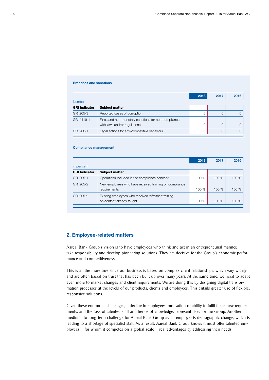#### Breaches and sanctions

|                      |                                                     | 2018 | 2017 | 2016 |
|----------------------|-----------------------------------------------------|------|------|------|
| <b>Number</b>        |                                                     |      |      |      |
| <b>GRI Indicator</b> | <b>Subject matter</b>                               |      |      |      |
| GRI 205-3            | Reported cases of corruption                        | 0    |      |      |
| GRI 4419-1           | Fines and non-monetary sanctions for non-compliance |      |      |      |
|                      | with laws and/or regulations                        | 0    |      |      |
| GRI 206-1            | Legal actions for anti-competitive behaviour        |      |      |      |

#### Compliance management

|                      |                                                                                 | 2018  | 2017 | 2016  |
|----------------------|---------------------------------------------------------------------------------|-------|------|-------|
| in per cent          |                                                                                 |       |      |       |
| <b>GRI Indicator</b> | <b>Subject matter</b>                                                           |       |      |       |
| GRI 205-1            | Operations included in the compliance concept                                   | 100 % | 100% | 100 % |
| GRI 205-2            | New employees who have received training on compliance<br>requirements          | 100 % | 100% | 100%  |
| GRI 205-2            | Existing employees who received refresher training<br>on content already taught | 100 % | 100% | 100 % |

#### 2. Employee-related matters

Aareal Bank Group's vision is to have employees who think and act in an entrepreneurial manner, take responsibility and develop pioneering solutions. They are decisive for the Group's economic performance and competitiveness.

This is all the more true since our business is based on complex client relationships, which vary widely and are often based on trust that has been built up over many years. At the same time, we need to adapt even more to market changes and client requirements. We are doing this by designing digital transformation processes at the levels of our products, clients and employees. This entails greater use of flexible, responsive solutions.

Given these enormous challenges, a decline in employees' motivation or ability to fulfil these new requirements, and the loss of talented staff and hence of knowledge, represent risks for the Group. Another medium- to long-term challenge for Aareal Bank Group as an employer is demographic change, which is leading to a shortage of specialist staff. As a result, Aareal Bank Group knows it must offer talented employees  $-$  for whom it competes on a global scale  $-$  real advantages by addressing their needs.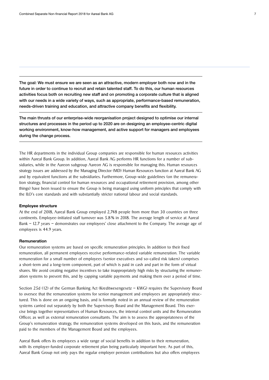The goal: We must ensure we are seen as an attractive, modern employer both now and in the future in order to continue to recruit and retain talented staff. To do this, our human resources activities focus both on recruiting new staff and on promoting a corporate culture that is aligned with our needs in a wide variety of ways, such as appropriate, performance-based remuneration, needs-driven training and education, and attractive company benefits and flexibility.

The main thrusts of our enterprise-wide reorganisation project designed to optimise our internal structures and processes in the period up to 2020 are on designing an employee-centric digital working environment, know-how management, and active support for managers and employees during the change process.

The HR departments in the individual Group companies are responsible for human resources activities within Aareal Bank Group. In addition, Aareal Bank AG performs HR functions for a number of subsidiaries, while in the Aareon subgroup Aareon AG is responsible for managing this. Human resources strategy issues are addressed by the Managing Director (MD) Human Resources function at Aareal Bank AG and by equivalent functions at the subsidiaries. Furthermore, Group-wide guidelines (on the remuneration strategy, financial control for human resources and occupational retirement provision, among other things) have been issued to ensure the Group is being managed using uniform principles that comply with the ILO's core standards and with substantially stricter national labour and social standards.

#### Employee structure

At the end of 2018, Aareal Bank Group employed 2,748 people from more than 30 countries on three continents. Employee-initiated staff turnover was 5.8 % in 2018. The average length of service at Aareal Bank – 12.7 years – demonstrates our employees' close attachment to the Company. The average age of employees is 44.9 years.

#### Remuneration

Our remuneration systems are based on specific remuneration principles. In addition to their fixed remuneration, all permanent employees receive performance-related variable remuneration. The variable remuneration for a small number of employees (senior executives and so-called risk takers) comprises a short-term and a long-term component, part of which is paid in cash and part in the form of virtual shares. We avoid creating negative incentives to take inappropriately high risks by structuring the remuneration systems to prevent this, and by capping variable payments and making them over a period of time.

Section 25d (12) of the German Banking Act (Kreditwesengesetz – KWG) requires the Supervisory Board to oversee that the remuneration systems for senior management and employees are appropriately structured. This is done on an ongoing basis, and is formally noted in an annual review of the remuneration systems carried out separately by both the Supervisory Board and the Management Board. This exercise brings together representatives of Human Resources, the internal control units and the Remuneration Officer, as well as external remuneration consultants. The aim is to assess the appropriateness of the Group's remuneration strategy, the remuneration systems developed on this basis, and the remuneration paid to the members of the Management Board and the employees.

Aareal Bank offers its employees a wide range of social benefits in addition to their remuneration, with its employer-funded corporate retirement plan being particularly important here. As part of this, Aareal Bank Group not only pays the regular employer pension contributions but also offers employees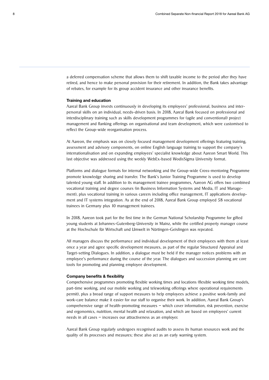a deferred compensation scheme that allows them to shift taxable income to the period after they have retired, and hence to make personal provision for their retirement. In addition, the Bank takes advantage of rebates, for example for its group accident insurance and other insurance benefits.

#### Training and education

Aareal Bank Group invests continuously in developing its employees' professional, business and interpersonal skills on an individual, needs-driven basis. In 2018, Aareal Bank focused on professional and interdisciplinary training such as skills development programmes for (agile and conventional) project management and flanking offerings on organisational and team development, which were customised to reflect the Group-wide reorganisation process.

At Aareon, the emphasis was on closely focused management development offerings featuring training, assessment and advisory components, on online English language training to support the company's internationalisation and on expanding employees' specialist knowledge about Aareon Smart World. This last objective was addressed using the weekly WebEx-based WodisSigma University format.

Platforms and dialogue formats for internal networking and the Group-wide Cross-mentoring Programme promote knowledge sharing and transfer. The Bank's Junior Training Programme is used to develop talented young staff. In addition to its management trainee programmes, Aareon AG offers two combined vocational training and degree courses (in Business Information Systems and Media, IT and Management), plus vocational training in various careers including office management, IT applications development and IT systems integration. As at the end of 2018, Aareal Bank Group employed 58 vocational trainees in Germany plus 10 management trainees.

In 2018, Aareon took part for the first time in the German National Scholarship Programme for gifted young students at Johannes-Gutenberg-University in Mainz, while the certified property manager course at the Hochschule für Wirtschaft und Umwelt in Nürtingen-Geislingen was repeated.

All managers discuss the performance and individual development of their employees with them at least once a year and agree specific development measures, as part of the regular Structured Appraisal and Target-setting Dialogues. In addition, a dialogue must be held if the manager notices problems with an employee's performance during the course of the year. The dialogues and succession planning are core tools for promoting and planning employee development.

#### Company benefits & flexibility

Comprehensive programmes promoting flexible working times and locations (flexible working time models, part-time working, and our mobile working and teleworking offerings where operational requirements permit), plus a broad range of support measures to help employees achieve a positive work-family and work-care balance make it easier for our staff to organise their work. In addition, Aareal Bank Group's comprehensive range of health-promoting measures – which cover information, risk prevention, exercise and ergonomics, nutrition, mental health and relaxation, and which are based on employees' current needs in all cases – increases our attractiveness as an employer.

Aareal Bank Group regularly undergoes recognised audits to assess its human resources work and the quality of its processes and measures; these also act as an early warning system.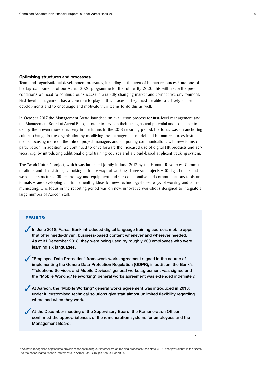#### Optimising structures and processes

Team and organisational development measures, including in the area of human resources<sup>1)</sup>, are one of the key components of our Aareal 2020 programme for the future. By 2020, this will create the preconditions we need to continue our success in a rapidly changing market and competitive environment. First-level management has a core role to play in this process. They must be able to actively shape developments and to encourage and motivate their teams to do this as well.

In October 2017, the Management Board launched an evaluation process for first-level management and the Management Board at Aareal Bank, in order to develop their strengths and potential and to be able to deploy them even more effectively in the future. In the 2018 reporting period, the focus was on anchoring cultural change in the organisation by modifying the management model and human resources instruments, focusing more on the role of project managers and supporting communications with new forms of participation. In addition, we continued to drive forward the increased use of digital HR products and services, e. g. by introducing additional digital training courses and a cloud-based applicant tracking system.

The "work4future" project, which was launched jointly in June 2017 by the Human Resources, Communications and IT divisions, is looking at future ways of working. Three subprojects – (i) digital office and workplace structures, (ii) technology and equipment and (iii) collaborative and communications tools and formats – are developing and implementing ideas for new, technology-based ways of working and communicating. One focus in the reporting period was on new, innovative workshops designed to integrate a large number of Aareon staff.

#### RESULTS:

In June 2018, Aareal Bank introduced digital language training courses: mobile apps that offer needs-driven, business-based content whenever and wherever needed. As at 31 December 2018, they were being used by roughly 300 employees who were learning six languages.

- "Employee Data Protection" framework works agreement signed in the course of implementing the Genera Data Protection Regulation (GDPR); in addition, the Bank's "Telephone Services and Mobile Devices" general works agreement was signed and the "Mobile Working/Teleworking" general works agreement was extended indefinitely.
- At Aareon, the "Mobile Working" general works agreement was introduced in 2018; under it, customised technical solutions give staff almost unlimited flexibility regarding where and when they work.
- At the December meeting of the Supervisory Board, the Remuneration Officer confirmed the appropriateness of the remuneration systems for employees and the Management Board.

>

<sup>&</sup>lt;sup>1)</sup> We have recognised appropriate provisions for optimising our internal structures and processes; see Note (51) "Other provisions" in the Notes to the consolidated financial statements in Aareal Bank Group's Annual Report 2018.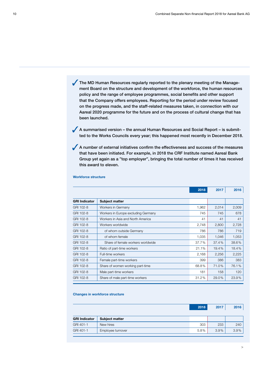The MD Human Resources regularly reported to the plenary meeting of the Management Board on the structure and development of the workforce, the human resources policy and the range of employee programmes, social benefits and other support that the Company offers employees. Reporting for the period under review focused on the progress made, and the staff-related measures taken, in connection with our Aareal 2020 programme for the future and on the process of cultural change that has been launched.

 A summarised version – the annual Human Resources and Social Report – is submitted to the Works Councils every year; this happened most recently in December 2018.

A number of external initiatives confirm the effectiveness and success of the measures that have been initiated. For example, in 2018 the CRF Institute named Aareal Bank Group yet again as a "top employer", bringing the total number of times it has received this award to eleven.

|                      |                                     | 2018  | 2017  | 2016  |
|----------------------|-------------------------------------|-------|-------|-------|
|                      |                                     |       |       |       |
| <b>GRI Indicator</b> | Subject matter                      |       |       |       |
| GRI 102-8            | Workers in Germany                  | 1,962 | 2,014 | 2,009 |
| GRI 102-8            | Workers in Europe excluding Germany | 745   | 745   | 678   |
| GRI 102-8            | Workers in Asia and North America   | 41    | 41    | 41    |
| GRI 102-8            | Workers worldwide                   | 2,748 | 2,800 | 2,728 |
| GRI 102-8            | of whom outside Germany             | 786   | 786   | 719   |
| GRI 102-8            | of whom female                      | 1,035 | 1,046 | 1,053 |
| GRI 102-8            | Share of female workers worldwide   | 37.7% | 37.4% | 38.6% |
| GRI 102-8            | Ratio of part-time workers          | 21.1% | 19.4% | 18.4% |
| GRI 102-8            | Full-time workers                   | 2,168 | 2,256 | 2,225 |
| GRI 102-8            | Female part-time workers            | 399   | 386   | 383   |
| GRI 102-8            | Share of women working part-time    | 68.8% | 71.0% | 76.1% |
| GRI 102-8            | Male part-time workers              | 181   | 158   | 120   |
| GRI 102-8            | Share of male part-time workers     | 31.2% | 29.0% | 23.9% |

#### Workforce structure

#### Changes in workforce structure

|                      |                       | 2018 | 2017 | 2016 |
|----------------------|-----------------------|------|------|------|
| <b>GRI Indicator</b> | <b>Subject matter</b> |      |      |      |
| GRI 401-1            | New hires             | 303  | 233  | 240  |
| GRI 401-1            | Employee turnover     | 5.8% | 3.9% | 3.9% |
|                      |                       |      |      |      |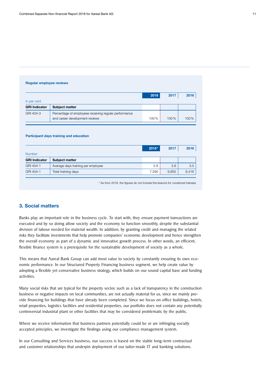#### Regular employee reviews

| in per cent          |                                                                                         | 2018 | 2017 | 2016 |
|----------------------|-----------------------------------------------------------------------------------------|------|------|------|
| <b>GRI Indicator</b> | <b>Subject matter</b>                                                                   |      |      |      |
| GRI 404-3            | Percentage of employees receiving regular performance<br>and career development reviews | 100% | 100% | 100% |

Participant days training and education

|                      |                                    | 2018* | 2017  | 2016  |
|----------------------|------------------------------------|-------|-------|-------|
| <b>Number</b>        |                                    |       |       |       |
| <b>GRI Indicator</b> | <b>Subject matter</b>              |       |       |       |
| GRI 404-1            | Average days training per employee | 2.8   | 3.8   | 3.5   |
| GRI 404-1            | Total training days                | 7.290 | 9.855 | 9,416 |

\* As from 2018, the figures do not include the lessons for vocational trainees

### 3. Social matters

Banks play an important role in the business cycle. To start with, they ensure payment transactions are executed and by so doing allow society and the economy to function smoothly, despite the substantial division of labour needed for material wealth. In addition, by granting credit and managing the related risks they facilitate investments that help promote companies' economic development and hence strengthen the overall economy as part of a dynamic and innovative growth process. In other words, an efficient, flexible finance system is a prerequisite for the sustainable development of society as a whole.

This means that Aareal Bank Group can add most value to society by constantly ensuring its own economic performance. In our Structured Property Financing business segment, we help create value by adopting a flexible yet conservative business strategy, which builds on our sound capital base and funding activities.

Many social risks that are typical for the property sector, such as a lack of transparency in the construction business or negative impacts on local communities, are not actually material for us, since we mainly provide financing for buildings that have already been completed. Since we focus on office buildings, hotels, retail properties, logistics facilities and residential properties, our portfolio does not contain any potentially controversial industrial plant or other facilities that may be considered problematic by the public.

Where we receive information that business partners potentially could be or are infringing socially accepted principles, we investigate the findings using our compliance management system.

In our Consulting and Services business, our success is based on the stable long-term contractual and customer relationships that underpin deployment of our tailor-made IT and banking solutions.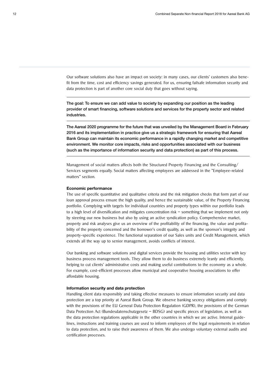Our software solutions also have an impact on society: in many cases, our clients' customers also benefit from the time, cost and efficiency savings generated. For us, ensuring failsafe information security and data protection is part of another core social duty that goes without saying.

The goal: To ensure we can add value to society by expanding our position as the leading provider of smart financing, software solutions and services for the property sector and related industries.

The Aareal 2020 programme for the future that was unveiled by the Management Board in February 2016 and its implementation in practice give us a strategic framework for ensuring that Aareal Bank Group can maintain its economic performance in a rapidly changing market and competitive environment. We monitor core impacts, risks and opportunities associated with our business (such as the importance of information security and data protection) as part of this process.

Management of social matters affects both the Structured Property Financing and the Consulting/ Services segments equally. Social matters affecting employees are addressed in the "Employee-related matters" section.

#### Economic performance

The use of specific quantitative and qualitative criteria and the risk mitigation checks that form part of our loan approval process ensure the high quality, and hence the sustainable value, of the Property Financing portfolio. Complying with targets for individual countries and property types within our portfolio leads to a high level of diversification and mitigates concentration risk – something that we implement not only by steering our new business but also by using an active syndication policy. Comprehensive market, property and risk analyses give us an overview of the profitability of the financing, the value and profitability of the property concerned and the borrower's credit quality, as well as the sponsor's integrity and property-specific experience. The functional separation of our Sales units and Credit Management, which extends all the way up to senior management, avoids conflicts of interest.

Our banking and software solutions and digital services provide the housing and utilities sector with key business process management tools. They allow them to do business extremely leanly and efficiently, helping to cut clients' administrative costs and making useful contributions to the economy as a whole. For example, cost-efficient processes allow municipal and cooperative housing associations to offer affordable housing.

#### Information security and data protection

Handling client data responsibly and taking effective measures to ensure information security and data protection are a top priority at Aareal Bank Group. We observe banking secrecy obligations and comply with the provisions of the EU General Data Protection Regulation (GDPR), the provisions of the German Data Protection Act (Bundesdatenschutzgesetz – BDSG) and specific pieces of legislation, as well as the data protection regulations applicable in the other countries in which we are active. Internal guidelines, instructions and training courses are used to inform employees of the legal requirements in relation to data protection, and to raise their awareness of them. We also undergo voluntary external audits and certification processes.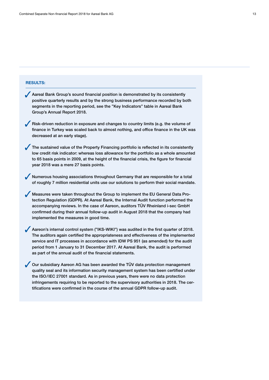#### RESULTS:

- Aareal Bank Group's sound financial position is demonstrated by its consistently positive quarterly results and by the strong business performance recorded by both segments in the reporting period, see the "Key Indicators" table in Aareal Bank Group's Annual Report 2018.
- $\sqrt{\phantom{a}}$  Risk-driven reduction in exposure and changes to country limits (e.g. the volume of finance in Turkey was scaled back to almost nothing, and office finance in the UK was decreased at an early stage).
- The sustained value of the Property Financing portfolio is reflected in its consistently low credit risk indicator: whereas loss allowance for the portfolio as a whole amounted to 65 basis points in 2009, at the height of the financial crisis, the figure for financial year 2018 was a mere 27 basis points.
- Numerous housing associations throughout Germany that are responsible for a total of roughly 7 million residential units use our solutions to perform their social mandate.
- Measures were taken throughout the Group to implement the EU General Data Protection Regulation (GDPR). At Aareal Bank, the Internal Audit function performed the accompanying reviews. In the case of Aareon, auditors TÜV Rheinland i-sec GmbH confirmed during their annual follow-up audit in August 2018 that the company had implemented the measures in good time.
- Aareon's internal control system ("IKS-WIKI") was audited in the first quarter of 2018. The auditors again certified the appropriateness and effectiveness of the implemented service and IT processes in accordance with IDW PS 951 (as amended) for the audit period from 1 January to 31 December 2017. At Aareal Bank, the audit is performed as part of the annual audit of the financial statements.
- Our subsidiary Aareon AG has been awarded the TÜV data protection management quality seal and its information security management system has been certified under the ISO/IEC 27001 standard. As in previous years, there were no data protection infringements requiring to be reported to the supervisory authorities in 2018. The certifications were confirmed in the course of the annual GDPR follow-up audit.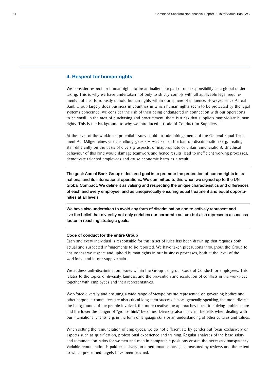#### 4. Respect for human rights

We consider respect for human rights to be an inalienable part of our responsibility as a global undertaking. This is why we have undertaken not only to strictly comply with all applicable legal requirements but also to robustly uphold human rights within our sphere of influence. However, since Aareal Bank Group largely does business in countries in which human rights seem to be protected by the legal systems concerned, we consider the risk of their being endangered in connection with our operations to be small. In the area of purchasing and procurement, there is a risk that suppliers may violate human rights. This is the background to why we introduced a Code of Conduct for Suppliers.

At the level of the workforce, potential issues could include infringements of the General Equal Treatment Act (Allgemeines Gleichstellungsgesetz – AGG) or of the ban on discrimination (e.g. treating staff differently on the basis of diversity aspects, or inappropriate or unfair remuneration). Unethical behaviour of this kind would damage teamwork and hence results, lead to inefficient working processes, demotivate talented employees and cause economic harm as a result.

The goal: Aareal Bank Group's declared goal is to promote the protection of human rights in its national and its international operations. We committed to this when we signed up to the UN Global Compact. We define it as valuing and respecting the unique characteristics and differences of each and every employee, and as unequivocally ensuring equal treatment and equal opportunities at all levels.

We have also undertaken to avoid any form of discrimination and to actively represent and live the belief that diversity not only enriches our corporate culture but also represents a success factor in reaching strategic goals.

#### Code of conduct for the entire Group

Each and every individual is responsible for this; a set of rules has been drawn up that requires both actual and suspected infringements to be reported. We have taken precautions throughout the Group to ensure that we respect and uphold human rights in our business processes, both at the level of the workforce and in our supply chain.

We address anti-discrimination issues within the Group using our Code of Conduct for employees. This relates to the topics of diversity, fairness, and the prevention and resolution of conflicts in the workplace together with employees and their representatives.

Workforce diversity and ensuring a wide range of viewpoints are represented on governing bodies and other corporate committees are also critical long-term success factors: generally speaking, the more diverse the backgrounds of the people involved, the more creative the approaches taken to solving problems are and the lower the danger of "group-think" becomes. Diversity also has clear benefits when dealing with our international clients, e. g. in the form of language skills or an understanding of other cultures and values.

When setting the remuneration of employees, we do not differentiate by gender but focus exclusively on aspects such as qualification, professional experience and training. Regular analyses of the base salary and remuneration ratios for women and men in comparable positions ensure the necessary transparency. Variable remuneration is paid exclusively on a performance basis, as measured by reviews and the extent to which predefined targets have been reached.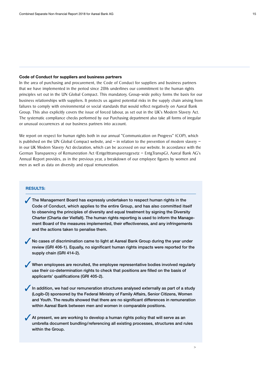#### Code of Conduct for suppliers and business partners

In the area of purchasing and procurement, the Code of Conduct for suppliers and business partners that we have implemented in the period since 2016 underlines our commitment to the human rights principles set out in the UN Global Compact. This mandatory, Group-wide policy forms the basis for our business relationships with suppliers. It protects us against potential risks in the supply chain arising from failures to comply with environmental or social standards that would reflect negatively on Aareal Bank Group. This also explicitly covers the issue of forced labour, as set out in the UK's Modern Slavery Act. The systematic compliance checks performed by our Purchasing department also take all forms of irregular or unusual occurrences at our business partners into account.

We report on respect for human rights both in our annual "Communication on Progress" (COP), which is published on the UN Global Compact website, and  $-$  in relation to the prevention of modern slavery  $$ in our UK Modern Slavery Act declaration, which can be accessed on our website. In accordance with the German Transparency of Remuneration Act (Entgelttransparenzgesetz – EntgTranspG), Aareal Bank AG's Annual Report provides, as in the previous year, a breakdown of our employee figures by women and men as well as data on diversity and equal remuneration.

#### RESULTS:

- The Management Board has expressly undertaken to respect human rights in the Code of Conduct, which applies to the entire Group, and has also committed itself to observing the principles of diversity and equal treatment by signing the Diversity Charter (Charta der Vielfalt). The human rights reporting is used to inform the Management Board of the measures implemented, their effectiveness, and any infringements and the actions taken to penalise them.
- No cases of discrimination came to light at Aareal Bank Group during the year under review (GRI 406-1). Equally, no significant human rights impacts were reported for the supply chain (GRI 414-2).
- When employees are recruited, the employee representative bodies involved regularly use their co-determination rights to check that positions are filled on the basis of applicants' qualifications (GRI 405-2).
- In addition, we had our remuneration structures analysed externally as part of a study (Logib-D) sponsored by the Federal Ministry of Family Affairs, Senior Citizens, Women and Youth. The results showed that there are no significant differences in remuneration within Aareal Bank between men and women in comparable positions.
- At present, we are working to develop a human rights policy that will serve as an umbrella document bundling/referencing all existing processes, structures and rules within the Group.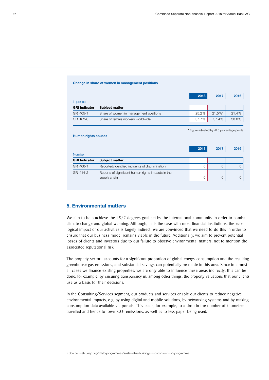#### Change in share of women in management positions

|                      |                                        | 2018  | 2017       | 2016  |
|----------------------|----------------------------------------|-------|------------|-------|
| in per cent          |                                        |       |            |       |
| <b>GRI Indicator</b> | <b>Subject matter</b>                  |       |            |       |
| GRI 405-1            | Share of women in management positions | 25.2% | $21.5\%$ * | 21.4% |
| GRI 102-8            | Share of female workers worldwide      | 37.7% | 37.4%      | 38.6% |

\* Figure adjusted by -0.6 percentage points

#### Human rights abuses

|                      |                                                                    | 2018 | 2017 | 2016 |  |
|----------------------|--------------------------------------------------------------------|------|------|------|--|
| <b>Number</b>        |                                                                    |      |      |      |  |
| <b>GRI Indicator</b> | <b>Subject matter</b>                                              |      |      |      |  |
| GRI 406-1            | Reported/identified incidents of discrimination                    |      |      |      |  |
| GRI 414-2            | Reports of significant human rights impacts in the<br>supply chain |      |      |      |  |

## 5. Environmental matters

We aim to help achieve the 1.5/2 degrees goal set by the international community in order to combat climate change and global warming. Although, as is the case with most financial institutions, the ecological impact of our activities is largely indirect, we are convinced that we need to do this in order to ensure that our business model remains viable in the future. Additionally, we aim to prevent potential losses of clients and investors due to our failure to observe environmental matters, not to mention the associated reputational risk.

The property sector<sup>1)</sup> accounts for a significant proportion of global energy consumption and the resulting greenhouse gas emissions, and substantial savings can potentially be made in this area. Since in almost all cases we finance existing properties, we are only able to influence these areas indirectly; this can be done, for example, by ensuring transparency in, among other things, the property valuations that our clients use as a basis for their decisions.

In the Consulting/Services segment, our products and services enable our clients to reduce negative environmental impacts, e.g. by using digital and mobile solutions, by networking systems and by making consumption data available via portals. This leads, for example, to a drop in the number of kilometres travelled and hence to lower  $CO<sub>2</sub>$  emissions, as well as to less paper being used.

1) Source: web.unep.org/10yfp/programmes/sustainable-buildings-and-construction-programme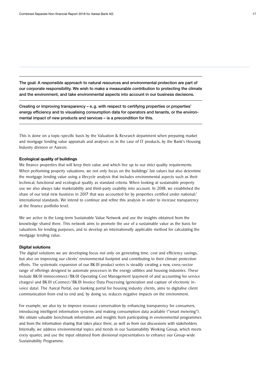The goal: A responsible approach to natural resources and environmental protection are part of our corporate responsibility. We wish to make a measurable contribution to protecting the climate and the environment, and take environmental aspects into account in our business decisions.

Creating or improving transparency – e.g. with respect to certifying properties or properties' energy efficiency and to visualising consumption data for operators and tenants, or the environmental impact of new products and services – is a precondition for this.

This is done on a topic-specific basis by the Valuation & Research department when preparing market and mortgage lending value appraisals and analyses or, in the case of IT products, by the Bank's Housing Industry division or Aareon.

#### Ecological quality of buildings

We finance properties that will keep their value and which live up to our strict quality requirements. When performing property valuations, we not only focus on the buildings' fair values but also determine the mortgage lending value using a lifecycle analysis that includes environmental aspects such as their technical, functional and ecological quality as standard criteria. When looking at sustainable property use we also always take marketability and third-party usability into account. In 2018, we established the share of our total new business in 2017 that was accounted for by properties certified under national/ international standards. We intend to continue and refine this analysis in order to increase transparency at the finance portfolio level.

We are active in the Long-term Sustainable Value Network and use the insights obtained from the knowledge shared there. This network aims to promote the use of a sustainable value as the basis for valuations for lending purposes, and to develop an internationally applicable method for calculating the mortgage lending value.

#### Digital solutions

The digital solutions we are developing focus not only on generating time, cost and efficiency savings, but also on improving our clients' environmental footprint and contributing to their climate protection efforts. The systematic expansion of our BK 01 product series is steadily creating a new, cross-sector range of offerings designed to automate processes in the energy utilities and housing industries. These include BK 01 immoconnect/BK 01 Operating Cost Management (payment of and accounting for service charges) and BK 01 eConnect/BK 01 Invoice Data Processing (generation and capture of electronic invoice data). The Aareal Portal, our banking portal for housing industry clients, aims to digitalise client communication from end to end and, by doing so, reduces negative impacts on the environment.

For example, we also try to improve resource conservation by enhancing transparency for consumers, introducing intelligent information systems and making consumption data available ("smart metering"). We obtain valuable benchmark information and insights from participating in environmental programmes and from the information sharing that takes place there, as well as from our discussions with stakeholders. Internally, we address environmental topics and trends in our Sustainability Working Group, which meets every quarter, and use the input obtained from divisional representatives to enhance our Group-wide Sustainability Programme.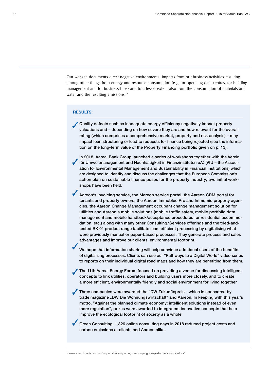Our website documents direct negative environmental impacts from our business activities resulting among other things from energy and resource consumption (e. g. for operating data centres, for building management and for business trips) and to a lesser extent also from the consumption of materials and water and the resulting emissions.<sup>1)</sup>

#### RESULTS:

Quality defects such as inadequate energy efficiency negatively impact property valuations and – depending on how severe they are and how relevant for the overall rating (which comprises a comprehensive market, property and risk analysis) – may impact loan structuring or lead to requests for finance being rejected (see the information on the long-term value of the Property Financing portfolio given on p. 13).

 In 2018, Aareal Bank Group launched a series of workshops together with the Verein für Umweltmanagement und Nachhaltigkeit in Finanzinstituten e.V. (VfU – the Association for Environmental Management and Sustainability in Financial Institutions) which are designed to identify and discuss the challenges that the European Commission's action plan on sustainable finance poses for the property industry; two initial workshops have been held.

Aareon's invoicing service, the Mareon service portal, the Aareon CRM portal for tenants and property owners, the Aareon Immoblue Pro and Immomio property agencies, the Aareon Change Management occupant change management solution for utilities and Aareon's mobile solutions (mobile traffic safety, mobile portfolio data management and mobile handback/acceptance procedures for residential accommodation, etc.) along with many other Consulting/Services offerings and the tried-andtested BK 01 product range facilitate lean, efficient processing by digitalising what were previously manual or paper-based processes. They generate process and sales advantages and improve our clients' environmental footprint.

 We hope that information sharing will help convince additional users of the benefits of digitalising processes. Clients can use our "Pathways to a Digital World" video series to reports on their individual digital road maps and how they are benefiting from them.

 The 11th Aareal Energy Forum focused on providing a venue for discussing intelligent concepts to link utilities, operators and building users more closely, and to create a more efficient, environmentally friendly and social environment for living together.

 Three companies were awarded the "DW Zukunftspreis", which is sponsored by trade magazine "DW Die Wohnungswirtschaft" and Aareon. In keeping with this year's motto, "Against the planned climate economy: intelligent solutions instead of even more regulation", prizes were awarded to integrated, innovative concepts that help improve the ecological footprint of society as a whole.

Green Consulting: 1,826 online consulting days in 2018 reduced project costs and carbon emissions at clients and Aareon alike.

1) www.aareal-bank.com/en/responsibility/reporting-on-our-progress/performance-indicators/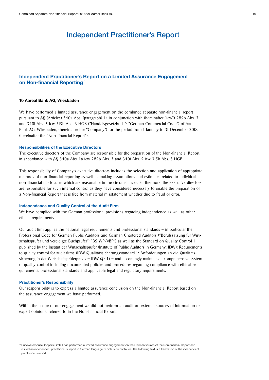## Independent Practitioner's Report

### Independent Practitioner's Report on a Limited Assurance Engagement on Non-financial Reporting<sup>1)</sup>

#### To Aareal Bank AG, Wiesbaden

We have performed a limited assurance engagement on the combined separate non-financial report pursuant to §§ (Articles) 340a Abs. (paragraph) 1a in conjunction with (hereinafter "icw") 289b Abs. 3 and 340i Abs. 5 icw 315b Abs. 3 HGB ("Handelsgesetzbuch": "German Commercial Code") of Aareal Bank AG, Wiesbaden, (hereinafter the "Company") for the period from 1 January to 31 December 2018 (hereinafter the "Non-financial Report").

#### Responsibilities of the Executive Directors

The executive directors of the Company are responsible for the preparation of the Non-financial Report in accordance with §§ 340a Abs. 1a icw 289b Abs. 3 and 340i Abs. 5 icw 315b Abs. 3 HGB.

This responsibility of Company's executive directors includes the selection and application of appropriate methods of non-financial reporting as well as making assumptions and estimates related to individual non-financial disclosures which are reasonable in the circumstances. Furthermore, the executive directors are responsible for such internal control as they have considered necessary to enable the preparation of a Non-financial Report that is free from material misstatement whether due to fraud or error.

#### Independence and Quality Control of the Audit Firm

We have complied with the German professional provisions regarding independence as well as other ethical requirements.

Our audit firm applies the national legal requirements and professional standards – in particular the Professional Code for German Public Auditors and German Chartered Auditors ("Berufssatzung für Wirtschaftsprüfer und vereidigte Buchprüfer": "BS WP/vBP") as well as the Standard on Quality Control 1 published by the Institut der Wirtschaftsprüfer (Institute of Public Auditors in Germany; IDW): Requirements to quality control for audit firms (IDW Qualitätssicherungsstandard 1: Anforderungen an die Qualitätssicherung in der Wirtschaftsprüferpraxis - IDW QS 1) - and accordingly maintains a comprehensive system of quality control including documented policies and procedures regarding compliance with ethical requirements, professional standards and applicable legal and regulatory requirements.

#### Practitioner's Responsibility

Our responsibility is to express a limited assurance conclusion on the Non-financial Report based on the assurance engagement we have performed.

Within the scope of our engagement we did not perform an audit on external sources of information or expert opinions, referred to in the Non-financial Report.

<sup>1)</sup> PricewaterhouseCoopers GmbH has performed a limited assurance engagement on the German version of the Non-financial Report and issued an independent practitioner's report in German language, which is authoritative. The following text is a translation of the independent practitioner's report.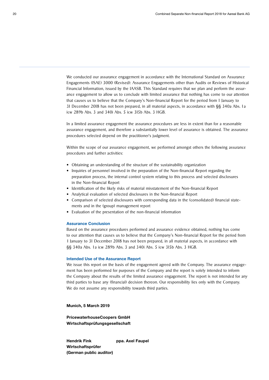We conducted our assurance engagement in accordance with the International Standard on Assurance Engagements (ISAE) 3000 (Revised): Assurance Engagements other than Audits or Reviews of Historical Financial Information, issued by the IAASB. This Standard requires that we plan and perform the assurance engagement to allow us to conclude with limited assurance that nothing has come to our attention that causes us to believe that the Company's Non-financial Report for the period from 1 January to 31 December 2018 has not been prepared, in all material aspects, in accordance with §§ 340a Abs. 1a icw 289b Abs. 3 and 340i Abs. 5 icw 315b Abs. 3 HGB.

In a limited assurance engagement the assurance procedures are less in extent than for a reasonable assurance engagement, and therefore a substantially lower level of assurance is obtained. The assurance procedures selected depend on the practitioner's judgment.

Within the scope of our assurance engagement, we performed amongst others the following assurance procedures and further activities:

- Obtaining an understanding of the structure of the sustainability organization
- Inquiries of personnel involved in the preparation of the Non-financial Report regarding the preparation process, the internal control system relating to this process and selected disclosures in the Non-financial Report
- Identification of the likely risks of material misstatement of the Non-financial Report
- Analytical evaluation of selected disclosures in the Non-financial Report
- Comparison of selected disclosures with corresponding data in the (consolidated) financial statements and in the (group) management report
- Evaluation of the presentation of the non-financial information

#### Assurance Conclusion

Based on the assurance procedures performed and assurance evidence obtained, nothing has come to our attention that causes us to believe that the Company's Non-financial Report for the period from 1 January to 31 December 2018 has not been prepared, in all material aspects, in accordance with §§ 340a Abs. 1a icw 289b Abs. 3 and 340i Abs. 5 icw 315b Abs. 3 HGB.

#### Intended Use of the Assurance Report

We issue this report on the basis of the engagement agreed with the Company. The assurance engagement has been performed for purposes of the Company and the report is solely intended to inform the Company about the results of the limited assurance engagement. The report is not intended for any third parties to base any (financial) decision thereon. Our responsibility lies only with the Company. We do not assume any responsibility towards third parties.

Munich, 5 March 2019

PricewaterhouseCoopers GmbH Wirtschaftsprüfungsgesellschaft

Hendrik Fink ppa. Axel Faupel Wirtschaftsprüfer (German public auditor)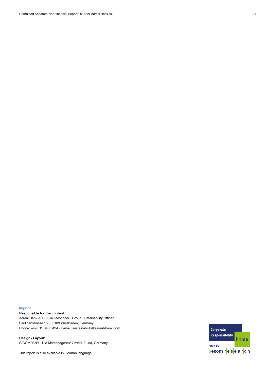#### Imprint

Responsible for the content:

Aareal Bank AG · Julia Taeschner · Group Sustainability Officer Paulinenstrasse 15 · 65189 Wiesbaden, Germany Phone: +49 611 348 3424 · E-mail: sustainability@aareal-bank.com

Design / Layout: S/COMPANY · Die Markenagentur GmbH, Fulda, Germany

This report is also available in German language.

Corporate Responsibility **Prime** rated by oekom research